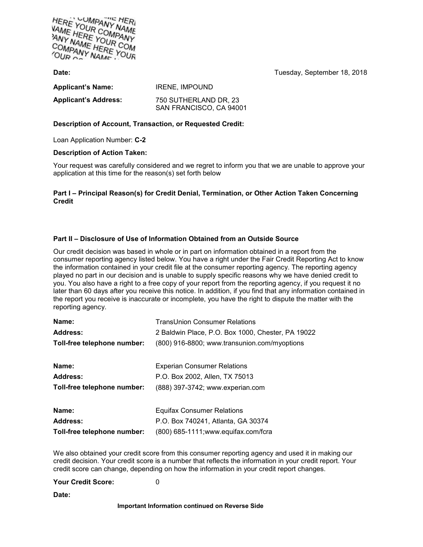

**Date:** Tuesday, September 18, 2018

| <b>Applicant's Name:</b>    | <b>IRENE, IMPOUND</b>                            |
|-----------------------------|--------------------------------------------------|
| <b>Applicant's Address:</b> | 750 SUTHERLAND DR, 23<br>SAN FRANCISCO, CA 94001 |

## **Description of Account, Transaction, or Requested Credit:**

Loan Application Number: **C-2**

## **Description of Action Taken:**

Your request was carefully considered and we regret to inform you that we are unable to approve your application at this time for the reason(s) set forth below

## **Part I – Principal Reason(s) for Credit Denial, Termination, or Other Action Taken Concerning Credit**

# **Part II – Disclosure of Use of Information Obtained from an Outside Source**

Our credit decision was based in whole or in part on information obtained in a report from the consumer reporting agency listed below. You have a right under the Fair Credit Reporting Act to know the information contained in your credit file at the consumer reporting agency. The reporting agency played no part in our decision and is unable to supply specific reasons why we have denied credit to you. You also have a right to a free copy of your report from the reporting agency, if you request it no later than 60 days after you receive this notice. In addition, if you find that any information contained in the report you receive is inaccurate or incomplete, you have the right to dispute the matter with the reporting agency.

| Name:                       | <b>TransUnion Consumer Relations</b>              |
|-----------------------------|---------------------------------------------------|
| Address:                    | 2 Baldwin Place, P.O. Box 1000, Chester, PA 19022 |
| Toll-free telephone number: | (800) 916-8800; www.transunion.com/myoptions      |
|                             |                                                   |
| Name:                       | <b>Experian Consumer Relations</b>                |
| Address:                    | P.O. Box 2002, Allen, TX 75013                    |
| Toll-free telephone number: | (888) 397-3742; www.experian.com                  |
|                             |                                                   |
| Name:                       | <b>Equifax Consumer Relations</b>                 |
| Address:                    | P.O. Box 740241, Atlanta, GA 30374                |
| Toll-free telephone number: | (800) 685-1111; www.equifax.com/fcra              |

We also obtained your credit score from this consumer reporting agency and used it in making our credit decision. Your credit score is a number that reflects the information in your credit report. Your credit score can change, depending on how the information in your credit report changes.

### **Your Credit Score:** 0

**Date:**

### **Important Information continued on Reverse Side**